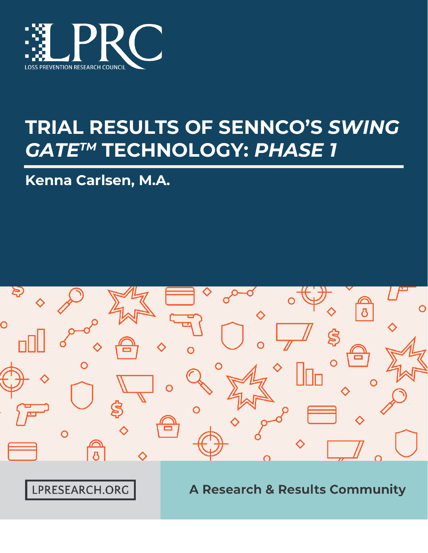

# **TRIAL RESULTS OF SENNCO'S** *SWING GATETM* **TECHNOLOGY:** *PHASE 1*

Kenna Carlsen, M.A.



LPRESEARCH.ORG

**A Research & Results Community**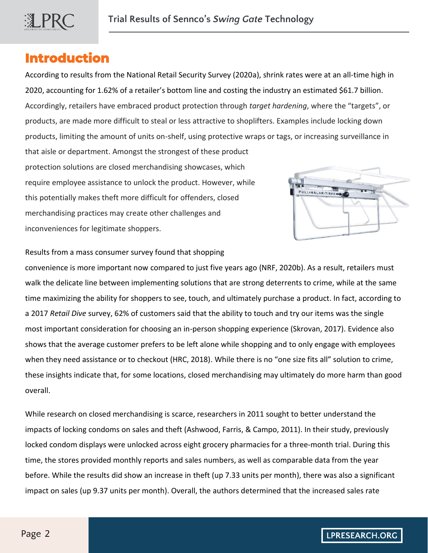

# **Introduction**

According to results from the National Retail Security Survey (2020a), shrink rates were at an all-time high in 2020, accounting for 1.62% of a retailer's bottom line and costing the industry an estimated \$61.7 billion. Accordingly, retailers have embraced product protection through *target hardening*, where the "targets", or products, are made more difficult to steal or less attractive to shoplifters. Examples include locking down products, limiting the amount of units on-shelf, using protective wraps or tags, or increasing surveillance in that aisle or department. Amongst the strongest of these product

protection solutions are closed merchandising showcases, which require employee assistance to unlock the product. However, while this potentially makes theft more difficult for offenders, closed merchandising practices may create other challenges and inconveniences for legitimate shoppers.



Results from a mass consumer survey found that shopping

convenience is more important now compared to just five years ago (NRF, 2020b). As a result, retailers must walk the delicate line between implementing solutions that are strong deterrents to crime, while at the same time maximizing the ability for shoppers to see, touch, and ultimately purchase a product. In fact, according to a 2017 *Retail Dive* survey, 62% of customers said that the ability to touch and try our items was the single most important consideration for choosing an in-person shopping experience (Skrovan, 2017). Evidence also shows that the average customer prefers to be left alone while shopping and to only engage with employees when they need assistance or to checkout (HRC, 2018). While there is no "one size fits all" solution to crime, these insights indicate that, for some locations, closed merchandising may ultimately do more harm than good overall.

While research on closed merchandising is scarce, researchers in 2011 sought to better understand the impacts of locking condoms on sales and theft (Ashwood, Farris, & Campo, 2011). In their study, previously locked condom displays were unlocked across eight grocery pharmacies for a three-month trial. During this time, the stores provided monthly reports and sales numbers, as well as comparable data from the year before. While the results did show an increase in theft (up 7.33 units per month), there was also a significant impact on sales (up 9.37 units per month). Overall, the authors determined that the increased sales rate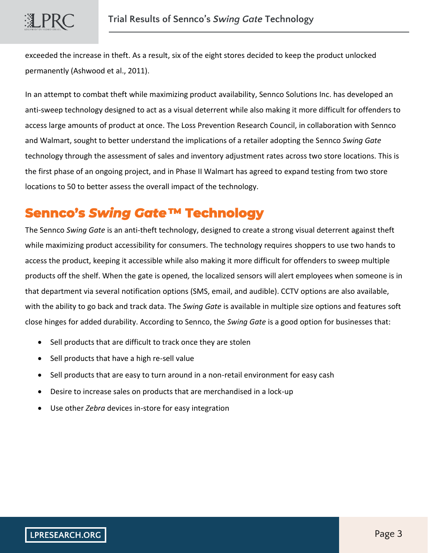exceeded the increase in theft. As a result, six of the eight stores decided to keep the product unlocked permanently (Ashwood et al., 2011).

In an attempt to combat theft while maximizing product availability, Sennco Solutions Inc. has developed an anti-sweep technology designed to act as a visual deterrent while also making it more difficult for offenders to access large amounts of product at once. The Loss Prevention Research Council, in collaboration with Sennco and Walmart, sought to better understand the implications of a retailer adopting the Sennco *Swing Gate* technology through the assessment of sales and inventory adjustment rates across two store locations. This is the first phase of an ongoing project, and in Phase II Walmart has agreed to expand testing from two store locations to 50 to better assess the overall impact of the technology.

# **Sennco's** *Swing Gate***™ Technology**

The Sennco *Swing Gate* is an anti-theft technology, designed to create a strong visual deterrent against theft while maximizing product accessibility for consumers. The technology requires shoppers to use two hands to access the product, keeping it accessible while also making it more difficult for offenders to sweep multiple products off the shelf. When the gate is opened*,* the localized sensors will alert employees when someone is in that department via several notification options (SMS, email, and audible). CCTV options are also available, with the ability to go back and track data. The *Swing Gate* is available in multiple size options and features soft close hinges for added durability. According to Sennco, the *Swing Gate* is a good option for businesses that:

- Sell products that are difficult to track once they are stolen
- Sell products that have a high re-sell value
- Sell products that are easy to turn around in a non-retail environment for easy cash
- Desire to increase sales on products that are merchandised in a lock-up
- Use other *Zebra* devices in-store for easy integration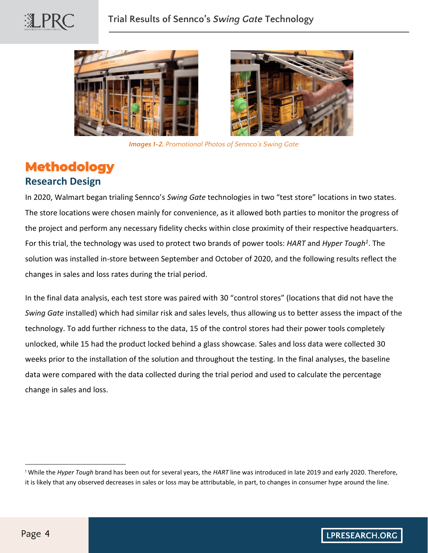





*Images 1-2. Promotional Photos of Sennco's Swing Gate*

# **Methodology** **Research Design**

In 2020, Walmart began trialing Sennco's *Swing Gate* technologies in two "test store" locations in two states. The store locations were chosen mainly for convenience, as it allowed both parties to monitor the progress of the project and perform any necessary fidelity checks within close proximity of their respective headquarters. For this trial, the technology was used to protect two brands of power tools: *HART* and *Hyper Tough<sup>1</sup>* . The solution was installed in-store between September and October of 2020, and the following results reflect the changes in sales and loss rates during the trial period.

In the final data analysis, each test store was paired with 30 "control stores" (locations that did not have the *Swing Gate* installed) which had similar risk and sales levels, thus allowing us to better assess the impact of the technology. To add further richness to the data, 15 of the control stores had their power tools completely unlocked, while 15 had the product locked behind a glass showcase. Sales and loss data were collected 30 weeks prior to the installation of the solution and throughout the testing. In the final analyses, the baseline data were compared with the data collected during the trial period and used to calculate the percentage change in sales and loss.

<sup>1</sup> While the *Hyper Tough* brand has been out for several years, the *HART* line was introduced in late 2019 and early 2020. Therefore, it is likely that any observed decreases in sales or loss may be attributable, in part, to changes in consumer hype around the line.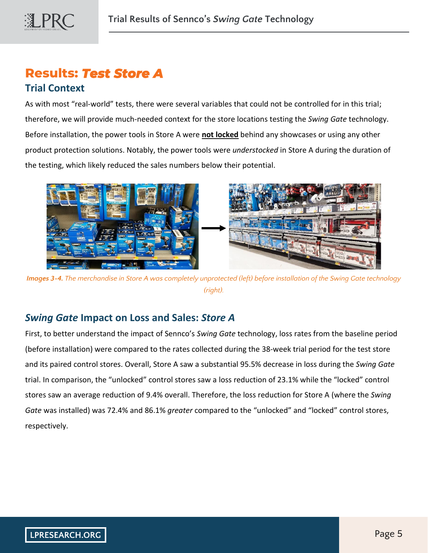

# **Results:** *Test Store A*

#### **Trial Context**

As with most "real-world" tests, there were several variables that could not be controlled for in this trial; therefore, we will provide much-needed context for the store locations testing the *Swing Gate* technology. Before installation, the power tools in Store A were **not locked** behind any showcases or using any other product protection solutions. Notably, the power tools were *understocked* in Store A during the duration of the testing, which likely reduced the sales numbers below their potential.



*Images 3-4. The merchandise in Store A was completely unprotected (left) before installation of the Swing Gate technology (right).*

## *Swing Gate* **Impact on Loss and Sales:** *Store A*

First, to better understand the impact of Sennco's *Swing Gate* technology, loss rates from the baseline period (before installation) were compared to the rates collected during the 38-week trial period for the test store and its paired control stores. Overall, Store A saw a substantial 95.5% decrease in loss during the *Swing Gate* trial. In comparison, the "unlocked" control stores saw a loss reduction of 23.1% while the "locked" control stores saw an average reduction of 9.4% overall. Therefore, the loss reduction for Store A (where the *Swing Gate* was installed) was 72.4% and 86.1% *greater* compared to the "unlocked" and "locked" control stores, respectively.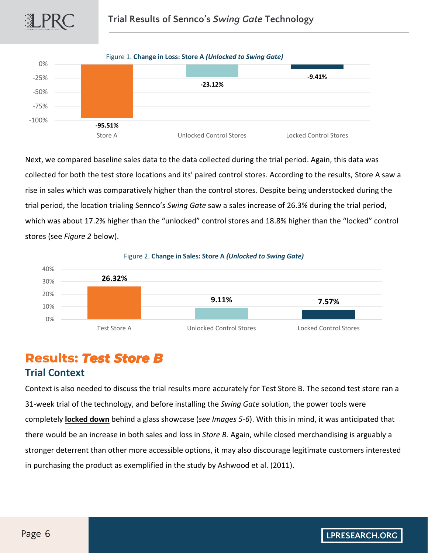



Next, we compared baseline sales data to the data collected during the trial period. Again, this data was collected for both the test store locations and its' paired control stores. According to the results, Store A saw a rise in sales which was comparatively higher than the control stores. Despite being understocked during the trial period, the location trialing Sennco's *Swing Gate* saw a sales increase of 26.3% during the trial period, which was about 17.2% higher than the "unlocked" control stores and 18.8% higher than the "locked" control stores (see *Figure 2* below).



# **Results:** *Test Store B*

### **Trial Context**

Context is also needed to discuss the trial results more accurately for Test Store B. The second test store ran a 31-week trial of the technology, and before installing the *Swing Gate* solution, the power tools were completely **locked down** behind a glass showcase (*see Images 5-6*). With this in mind, it was anticipated that there would be an increase in both sales and loss in *Store B.* Again, while closed merchandising is arguably a stronger deterrent than other more accessible options, it may also discourage legitimate customers interested in purchasing the product as exemplified in the study by Ashwood et al. (2011).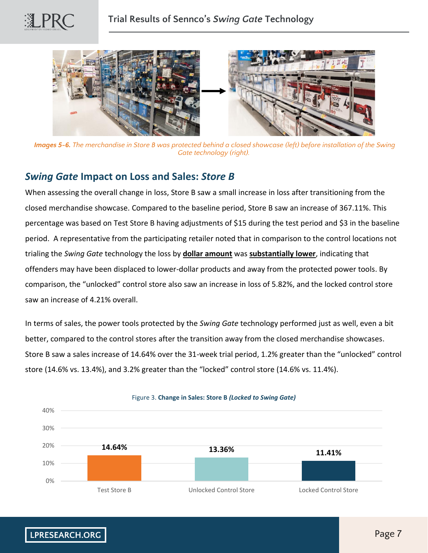



*Images 5-6. The merchandise in Store B was protected behind a closed showcase (left) before installation of the Swing Gate technology (right).*

#### *Swing Gate* **Impact on Loss and Sales:** *Store B*

When assessing the overall change in loss, Store B saw a small increase in loss after transitioning from the closed merchandise showcase. Compared to the baseline period, Store B saw an increase of 367.11%. This percentage was based on Test Store B having adjustments of \$15 during the test period and \$3 in the baseline period. A representative from the participating retailer noted that in comparison to the control locations not trialing the *Swing Gate* technology the loss by **dollar amount** was **substantially lower**, indicating that offenders may have been displaced to lower-dollar products and away from the protected power tools. By comparison, the "unlocked" control store also saw an increase in loss of 5.82%, and the locked control store saw an increase of 4.21% overall.

In terms of sales, the power tools protected by the *Swing Gate* technology performed just as well, even a bit better, compared to the control stores after the transition away from the closed merchandise showcases. Store B saw a sales increase of 14.64% over the 31-week trial period, 1.2% greater than the "unlocked" control store (14.6% vs. 13.4%), and 3.2% greater than the "locked" control store (14.6% vs. 11.4%).

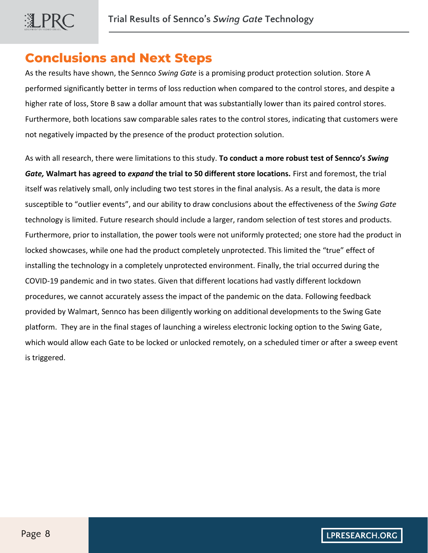# **Conclusions and Next Steps**

As the results have shown, the Sennco *Swing Gate* is a promising product protection solution. Store A performed significantly better in terms of loss reduction when compared to the control stores, and despite a higher rate of loss, Store B saw a dollar amount that was substantially lower than its paired control stores. Furthermore, both locations saw comparable sales rates to the control stores, indicating that customers were not negatively impacted by the presence of the product protection solution.

As with all research, there were limitations to this study. **To conduct a more robust test of Sennco's** *Swing Gate,* **Walmart has agreed to** *expand* **the trial to 50 different store locations.** First and foremost, the trial itself was relatively small, only including two test stores in the final analysis. As a result, the data is more susceptible to "outlier events", and our ability to draw conclusions about the effectiveness of the *Swing Gate*  technology is limited. Future research should include a larger, random selection of test stores and products. Furthermore, prior to installation, the power tools were not uniformly protected; one store had the product in locked showcases, while one had the product completely unprotected. This limited the "true" effect of installing the technology in a completely unprotected environment. Finally, the trial occurred during the COVID-19 pandemic and in two states. Given that different locations had vastly different lockdown procedures, we cannot accurately assess the impact of the pandemic on the data. Following feedback provided by Walmart, Sennco has been diligently working on additional developments to the Swing Gate platform. They are in the final stages of launching a wireless electronic locking option to the Swing Gate, which would allow each Gate to be locked or unlocked remotely, on a scheduled timer or after a sweep event is triggered.